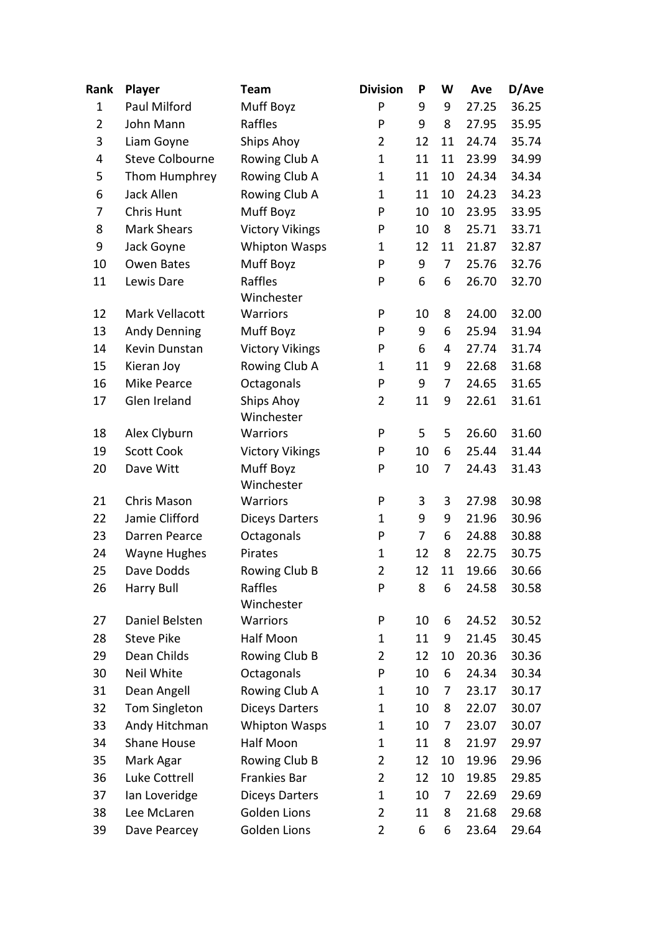| Rank           | Player                 | <b>Team</b>              | <b>Division</b> | P              | W  | Ave   | D/Ave |
|----------------|------------------------|--------------------------|-----------------|----------------|----|-------|-------|
| $\mathbf 1$    | Paul Milford           | Muff Boyz                | P               | 9              | 9  | 27.25 | 36.25 |
| $\overline{2}$ | John Mann              | Raffles                  | P               | 9              | 8  | 27.95 | 35.95 |
| 3              | Liam Goyne             | Ships Ahoy               | $\overline{2}$  | 12             | 11 | 24.74 | 35.74 |
| 4              | <b>Steve Colbourne</b> | Rowing Club A            | $\mathbf 1$     | 11             | 11 | 23.99 | 34.99 |
| 5              | Thom Humphrey          | Rowing Club A            | $\mathbf 1$     | 11             | 10 | 24.34 | 34.34 |
| 6              | Jack Allen             | Rowing Club A            | 1               | 11             | 10 | 24.23 | 34.23 |
| 7              | Chris Hunt             | Muff Boyz                | P               | 10             | 10 | 23.95 | 33.95 |
| 8              | <b>Mark Shears</b>     | <b>Victory Vikings</b>   | P               | 10             | 8  | 25.71 | 33.71 |
| 9              | Jack Goyne             | <b>Whipton Wasps</b>     | 1               | 12             | 11 | 21.87 | 32.87 |
| 10             | Owen Bates             | Muff Boyz                | P               | 9              | 7  | 25.76 | 32.76 |
| 11             | Lewis Dare             | Raffles<br>Winchester    | P               | 6              | 6  | 26.70 | 32.70 |
| 12             | Mark Vellacott         | Warriors                 | P               | 10             | 8  | 24.00 | 32.00 |
| 13             | <b>Andy Denning</b>    | Muff Boyz                | P               | 9              | 6  | 25.94 | 31.94 |
| 14             | Kevin Dunstan          | <b>Victory Vikings</b>   | P               | 6              | 4  | 27.74 | 31.74 |
| 15             | Kieran Joy             | Rowing Club A            | $\mathbf 1$     | 11             | 9  | 22.68 | 31.68 |
| 16             | <b>Mike Pearce</b>     | Octagonals               | P               | 9              | 7  | 24.65 | 31.65 |
| 17             | Glen Ireland           | Ships Ahoy<br>Winchester | $\overline{2}$  | 11             | 9  | 22.61 | 31.61 |
| 18             | Alex Clyburn           | <b>Warriors</b>          | P               | 5              | 5  | 26.60 | 31.60 |
| 19             | <b>Scott Cook</b>      | <b>Victory Vikings</b>   | P               | 10             | 6  | 25.44 | 31.44 |
| 20             | Dave Witt              | Muff Boyz<br>Winchester  | P               | 10             | 7  | 24.43 | 31.43 |
| 21             | Chris Mason            | Warriors                 | P               | 3              | 3  | 27.98 | 30.98 |
| 22             | Jamie Clifford         | <b>Diceys Darters</b>    | $\mathbf 1$     | 9              | 9  | 21.96 | 30.96 |
| 23             | Darren Pearce          | Octagonals               | P               | $\overline{7}$ | 6  | 24.88 | 30.88 |
| 24             | <b>Wayne Hughes</b>    | Pirates                  | $\mathbf 1$     | 12             | 8  | 22.75 | 30.75 |
| 25             | Dave Dodds             | Rowing Club B            | $\overline{2}$  | 12             | 11 | 19.66 | 30.66 |
| 26             | <b>Harry Bull</b>      | Raffles<br>Winchester    | P               | 8              | 6  | 24.58 | 30.58 |
| 27             | Daniel Belsten         | Warriors                 | P               | 10             | 6  | 24.52 | 30.52 |
| 28             | <b>Steve Pike</b>      | Half Moon                | 1               | 11             | 9  | 21.45 | 30.45 |
| 29             | Dean Childs            | Rowing Club B            | 2               | 12             | 10 | 20.36 | 30.36 |
| 30             | Neil White             | Octagonals               | P               | 10             | 6  | 24.34 | 30.34 |
| 31             | Dean Angell            | Rowing Club A            | 1               | 10             | 7  | 23.17 | 30.17 |
| 32             | <b>Tom Singleton</b>   | <b>Diceys Darters</b>    | 1               | 10             | 8  | 22.07 | 30.07 |
| 33             | Andy Hitchman          | <b>Whipton Wasps</b>     | 1               | 10             | 7  | 23.07 | 30.07 |
| 34             | Shane House            | Half Moon                | 1               | 11             | 8  | 21.97 | 29.97 |
| 35             | Mark Agar              | Rowing Club B            | $\overline{2}$  | 12             | 10 | 19.96 | 29.96 |
| 36             | Luke Cottrell          | <b>Frankies Bar</b>      | $\overline{2}$  | 12             | 10 | 19.85 | 29.85 |
| 37             | lan Loveridge          | <b>Diceys Darters</b>    | 1               | 10             | 7  | 22.69 | 29.69 |
| 38             | Lee McLaren            | Golden Lions             | $\overline{2}$  | 11             | 8  | 21.68 | 29.68 |
| 39             | Dave Pearcey           | Golden Lions             | $\overline{2}$  | 6              | 6  | 23.64 | 29.64 |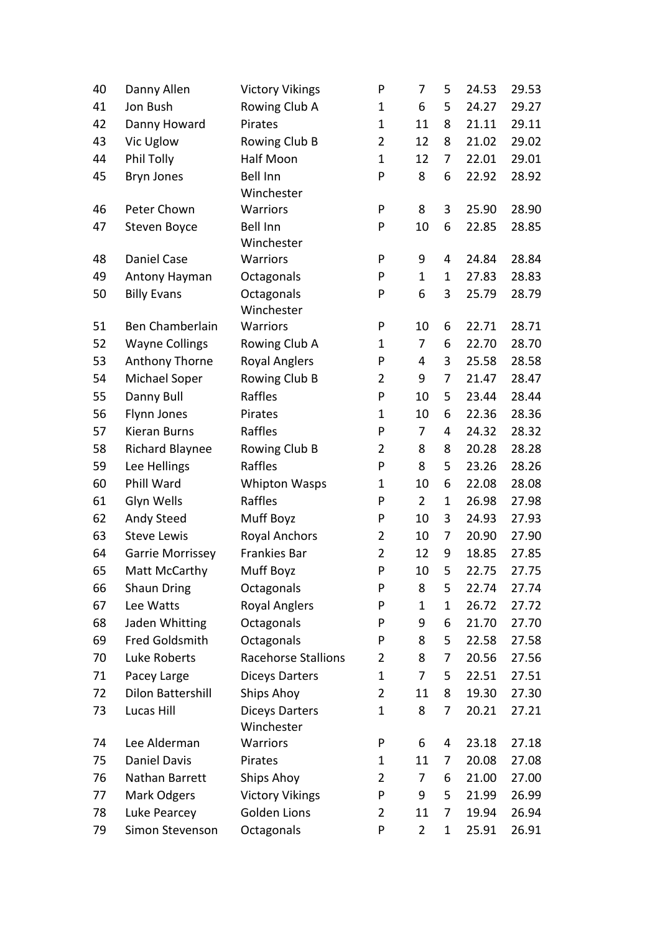| 40 | Danny Allen              | <b>Victory Vikings</b>     | P              | 7              | 5           | 24.53 | 29.53 |
|----|--------------------------|----------------------------|----------------|----------------|-------------|-------|-------|
| 41 | Jon Bush                 | Rowing Club A              | $\mathbf 1$    | 6              | 5           | 24.27 | 29.27 |
| 42 | Danny Howard             | Pirates                    | $\mathbf 1$    | 11             | 8           | 21.11 | 29.11 |
| 43 | Vic Uglow                | Rowing Club B              | $\overline{2}$ | 12             | 8           | 21.02 | 29.02 |
| 44 | Phil Tolly               | Half Moon                  | $\mathbf 1$    | 12             | 7           | 22.01 | 29.01 |
| 45 | Bryn Jones               | <b>Bell Inn</b>            | P              | 8              | 6           | 22.92 | 28.92 |
|    |                          | Winchester                 |                |                |             |       |       |
| 46 | Peter Chown              | <b>Warriors</b>            | P              | 8              | 3           | 25.90 | 28.90 |
| 47 | Steven Boyce             | <b>Bell Inn</b>            | P              | 10             | 6           | 22.85 | 28.85 |
|    |                          | Winchester                 |                |                |             |       |       |
| 48 | Daniel Case              | Warriors                   | P              | 9              | 4           | 24.84 | 28.84 |
| 49 | Antony Hayman            | Octagonals                 | P              | $\mathbf{1}$   | 1           | 27.83 | 28.83 |
| 50 | <b>Billy Evans</b>       | Octagonals                 | P              | 6              | 3           | 25.79 | 28.79 |
|    |                          | Winchester                 |                |                |             |       |       |
| 51 | Ben Chamberlain          | <b>Warriors</b>            | P              | 10             | 6           | 22.71 | 28.71 |
| 52 | <b>Wayne Collings</b>    | Rowing Club A              | $\mathbf 1$    | 7              | 6           | 22.70 | 28.70 |
| 53 | Anthony Thorne           | <b>Royal Anglers</b>       | P              | 4              | 3           | 25.58 | 28.58 |
| 54 | Michael Soper            | Rowing Club B              | $\overline{2}$ | 9              | 7           | 21.47 | 28.47 |
| 55 | Danny Bull               | Raffles                    | P              | 10             | 5           | 23.44 | 28.44 |
| 56 | Flynn Jones              | Pirates                    | $\mathbf{1}$   | 10             | 6           | 22.36 | 28.36 |
| 57 | Kieran Burns             | Raffles                    | P              | 7              | 4           | 24.32 | 28.32 |
| 58 | <b>Richard Blaynee</b>   | Rowing Club B              | $\overline{2}$ | 8              | 8           | 20.28 | 28.28 |
| 59 | Lee Hellings             | Raffles                    | P              | 8              | 5           | 23.26 | 28.26 |
| 60 | Phill Ward               | <b>Whipton Wasps</b>       | $\mathbf 1$    | 10             | 6           | 22.08 | 28.08 |
| 61 | Glyn Wells               | Raffles                    | P              | $\overline{2}$ | $\mathbf 1$ | 26.98 | 27.98 |
| 62 | Andy Steed               | Muff Boyz                  | P              | 10             | 3           | 24.93 | 27.93 |
| 63 | <b>Steve Lewis</b>       | <b>Royal Anchors</b>       | $\overline{2}$ | 10             | 7           | 20.90 | 27.90 |
| 64 | Garrie Morrissey         | <b>Frankies Bar</b>        | $\overline{2}$ | 12             | 9           | 18.85 | 27.85 |
| 65 | Matt McCarthy            | Muff Boyz                  | P              | 10             | 5           | 22.75 | 27.75 |
| 66 | <b>Shaun Dring</b>       | Octagonals                 | P              | 8              | 5           | 22.74 | 27.74 |
| 67 | Lee Watts                | <b>Royal Anglers</b>       | P              | $\mathbf 1$    | $\mathbf 1$ | 26.72 | 27.72 |
| 68 | Jaden Whitting           | Octagonals                 | P              | 9              | 6           | 21.70 | 27.70 |
| 69 | <b>Fred Goldsmith</b>    | Octagonals                 | P              | 8              | 5           | 22.58 | 27.58 |
| 70 | Luke Roberts             | <b>Racehorse Stallions</b> | $\overline{2}$ | 8              | 7           | 20.56 | 27.56 |
| 71 | Pacey Large              | <b>Diceys Darters</b>      | $\mathbf 1$    | 7              | 5           | 22.51 | 27.51 |
| 72 | <b>Dilon Battershill</b> | <b>Ships Ahoy</b>          | $\overline{2}$ | 11             | 8           | 19.30 | 27.30 |
| 73 | Lucas Hill               | <b>Diceys Darters</b>      | $\mathbf 1$    | 8              | 7           | 20.21 | 27.21 |
|    |                          | Winchester                 |                |                |             |       |       |
| 74 | Lee Alderman             | Warriors                   | P              | 6              | 4           | 23.18 | 27.18 |
| 75 | <b>Daniel Davis</b>      | Pirates                    | 1              | 11             | 7           | 20.08 | 27.08 |
| 76 | Nathan Barrett           | Ships Ahoy                 | $\overline{2}$ | 7              | 6           | 21.00 | 27.00 |
| 77 | Mark Odgers              | <b>Victory Vikings</b>     | P              | 9              | 5           | 21.99 | 26.99 |
| 78 | Luke Pearcey             | Golden Lions               | $\overline{2}$ | 11             | 7           | 19.94 | 26.94 |
| 79 | Simon Stevenson          | Octagonals                 | P              | $\overline{2}$ | 1           | 25.91 | 26.91 |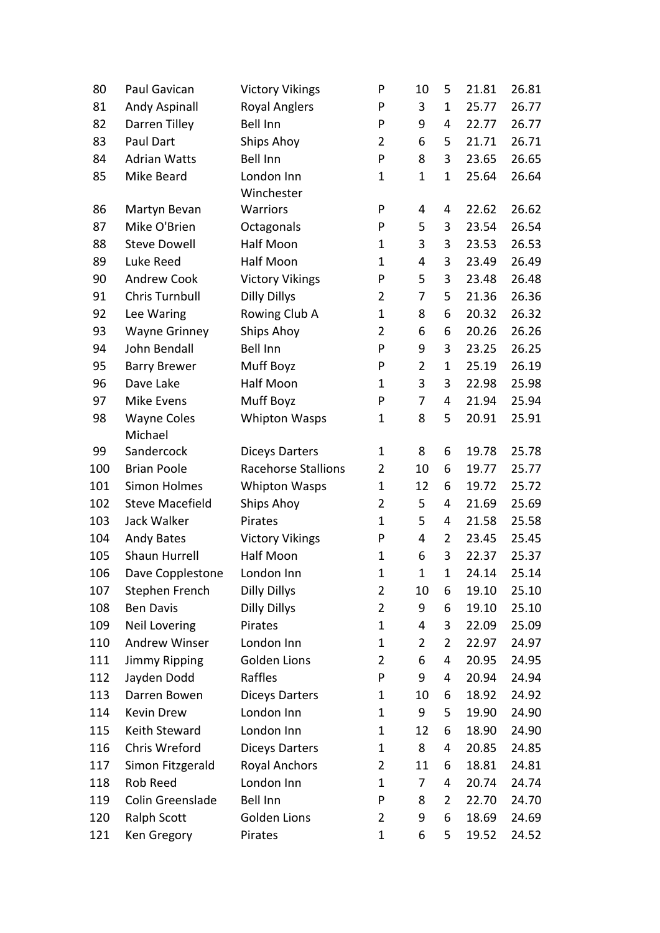| 3<br>26.77<br>81<br><b>Andy Aspinall</b><br><b>Royal Anglers</b><br>P<br>25.77<br>$\mathbf 1$<br><b>Bell Inn</b><br>26.77<br>82<br>Darren Tilley<br>P<br>9<br>22.77<br>4<br>Paul Dart<br>83<br><b>Ships Ahoy</b><br>$\overline{2}$<br>6<br>21.71<br>26.71<br>5<br><b>Bell Inn</b><br>P<br>3<br>84<br><b>Adrian Watts</b><br>8<br>23.65<br>26.65<br>26.64<br>85<br>Mike Beard<br>London Inn<br>$\mathbf{1}$<br>$\mathbf{1}$<br>25.64<br>$\mathbf 1$<br>Winchester<br>Warriors<br>P<br>22.62<br>26.62<br>86<br>Martyn Bevan<br>4<br>4<br>Mike O'Brien<br>5<br>87<br>Octagonals<br>P<br>3<br>23.54<br>26.54<br>Half Moon<br><b>Steve Dowell</b><br>3<br>3<br>23.53<br>26.53<br>88<br>$\mathbf 1$<br>89<br>Luke Reed<br>Half Moon<br>$\mathbf{1}$<br>4<br>3<br>23.49<br>26.49<br>5<br>90<br><b>Andrew Cook</b><br><b>Victory Vikings</b><br>P<br>3<br>23.48<br>26.48<br><b>Chris Turnbull</b><br><b>Dilly Dillys</b><br>26.36<br>91<br>$\overline{2}$<br>21.36<br>7<br>5<br>Rowing Club A<br>92<br>Lee Waring<br>$\mathbf{1}$<br>8<br>6<br>20.32<br>26.32<br>26.26<br>93<br><b>Wayne Grinney</b><br>Ships Ahoy<br>$\overline{2}$<br>6<br>20.26<br>6<br><b>John Bendall</b><br><b>Bell Inn</b><br>3<br>94<br>P<br>9<br>23.25<br>26.25<br>$\overline{2}$<br>Muff Boyz<br>P<br>$\mathbf{1}$<br>26.19<br>95<br><b>Barry Brewer</b><br>25.19<br>Half Moon<br>96<br>Dave Lake<br>3<br>3<br>22.98<br>25.98<br>$\mathbf 1$<br>Muff Boyz<br>97<br>Mike Evens<br>P<br>7<br>21.94<br>25.94<br>4<br>8<br>5<br>98<br><b>Wayne Coles</b><br><b>Whipton Wasps</b><br>20.91<br>25.91<br>$\mathbf 1$<br>Michael<br>Sandercock<br>19.78<br>25.78<br>99<br><b>Diceys Darters</b><br>$\mathbf 1$<br>8<br>6<br>100<br><b>Brian Poole</b><br>Racehorse Stallions<br>$\overline{2}$<br>19.77<br>25.77<br>10<br>6<br>101<br><b>Simon Holmes</b><br>$\mathbf{1}$<br>12<br>19.72<br><b>Whipton Wasps</b><br>6<br>25.72<br>102<br><b>Steve Macefield</b><br>Ships Ahoy<br>$\overline{2}$<br>21.69<br>25.69<br>5<br>4<br>Jack Walker<br>5<br>103<br>$\mathbf{1}$<br>21.58<br>25.58<br>Pirates<br>4<br>104<br>P<br>4<br>23.45<br>25.45<br><b>Andy Bates</b><br><b>Victory Vikings</b><br>2<br>Half Moon<br>105<br>Shaun Hurrell<br>$\mathbf{1}$<br>6<br>3<br>22.37<br>25.37<br>$\mathbf{1}$<br>106<br>Dave Copplestone<br>London Inn<br>$\mathbf 1$<br>25.14<br>$\mathbf 1$<br>24.14<br><b>Dilly Dillys</b><br>25.10<br>107<br>Stephen French<br>2<br>10<br>19.10<br>6<br><b>Dilly Dillys</b><br><b>Ben Davis</b><br>$\overline{2}$<br>19.10<br>25.10<br>108<br>9<br>6<br><b>Neil Lovering</b><br>Pirates<br>$\mathbf{1}$<br>109<br>4<br>3<br>22.09<br>25.09<br>110<br><b>Andrew Winser</b><br>London Inn<br>$\mathbf{1}$<br>$\overline{2}$<br>22.97<br>24.97<br>2<br>Golden Lions<br><b>Jimmy Ripping</b><br>$\overline{2}$<br>6<br>20.95<br>111<br>4<br>24.95<br>9<br>112<br>Jayden Dodd<br>Raffles<br>P<br>20.94<br>24.94<br>4<br>18.92<br>113<br>Darren Bowen<br><b>Diceys Darters</b><br>10<br>24.92<br>1<br>6<br>114<br>Kevin Drew<br>London Inn<br>9<br>$\mathbf 1$<br>5<br>19.90<br>24.90<br>Keith Steward<br>London Inn<br>12<br>18.90<br>24.90<br>115<br>1<br>6 | 80  | Paul Gavican  | <b>Victory Vikings</b> | P | 10 | 5 | 21.81 | 26.81 |
|------------------------------------------------------------------------------------------------------------------------------------------------------------------------------------------------------------------------------------------------------------------------------------------------------------------------------------------------------------------------------------------------------------------------------------------------------------------------------------------------------------------------------------------------------------------------------------------------------------------------------------------------------------------------------------------------------------------------------------------------------------------------------------------------------------------------------------------------------------------------------------------------------------------------------------------------------------------------------------------------------------------------------------------------------------------------------------------------------------------------------------------------------------------------------------------------------------------------------------------------------------------------------------------------------------------------------------------------------------------------------------------------------------------------------------------------------------------------------------------------------------------------------------------------------------------------------------------------------------------------------------------------------------------------------------------------------------------------------------------------------------------------------------------------------------------------------------------------------------------------------------------------------------------------------------------------------------------------------------------------------------------------------------------------------------------------------------------------------------------------------------------------------------------------------------------------------------------------------------------------------------------------------------------------------------------------------------------------------------------------------------------------------------------------------------------------------------------------------------------------------------------------------------------------------------------------------------------------------------------------------------------------------------------------------------------------------------------------------------------------------------------------------------------------------------------------------------------------------------------------------------------------------------------------------------------------------------------------------------------------------------------------------------------------------------------------------------------------------------------------------------------|-----|---------------|------------------------|---|----|---|-------|-------|
|                                                                                                                                                                                                                                                                                                                                                                                                                                                                                                                                                                                                                                                                                                                                                                                                                                                                                                                                                                                                                                                                                                                                                                                                                                                                                                                                                                                                                                                                                                                                                                                                                                                                                                                                                                                                                                                                                                                                                                                                                                                                                                                                                                                                                                                                                                                                                                                                                                                                                                                                                                                                                                                                                                                                                                                                                                                                                                                                                                                                                                                                                                                                          |     |               |                        |   |    |   |       |       |
|                                                                                                                                                                                                                                                                                                                                                                                                                                                                                                                                                                                                                                                                                                                                                                                                                                                                                                                                                                                                                                                                                                                                                                                                                                                                                                                                                                                                                                                                                                                                                                                                                                                                                                                                                                                                                                                                                                                                                                                                                                                                                                                                                                                                                                                                                                                                                                                                                                                                                                                                                                                                                                                                                                                                                                                                                                                                                                                                                                                                                                                                                                                                          |     |               |                        |   |    |   |       |       |
|                                                                                                                                                                                                                                                                                                                                                                                                                                                                                                                                                                                                                                                                                                                                                                                                                                                                                                                                                                                                                                                                                                                                                                                                                                                                                                                                                                                                                                                                                                                                                                                                                                                                                                                                                                                                                                                                                                                                                                                                                                                                                                                                                                                                                                                                                                                                                                                                                                                                                                                                                                                                                                                                                                                                                                                                                                                                                                                                                                                                                                                                                                                                          |     |               |                        |   |    |   |       |       |
|                                                                                                                                                                                                                                                                                                                                                                                                                                                                                                                                                                                                                                                                                                                                                                                                                                                                                                                                                                                                                                                                                                                                                                                                                                                                                                                                                                                                                                                                                                                                                                                                                                                                                                                                                                                                                                                                                                                                                                                                                                                                                                                                                                                                                                                                                                                                                                                                                                                                                                                                                                                                                                                                                                                                                                                                                                                                                                                                                                                                                                                                                                                                          |     |               |                        |   |    |   |       |       |
|                                                                                                                                                                                                                                                                                                                                                                                                                                                                                                                                                                                                                                                                                                                                                                                                                                                                                                                                                                                                                                                                                                                                                                                                                                                                                                                                                                                                                                                                                                                                                                                                                                                                                                                                                                                                                                                                                                                                                                                                                                                                                                                                                                                                                                                                                                                                                                                                                                                                                                                                                                                                                                                                                                                                                                                                                                                                                                                                                                                                                                                                                                                                          |     |               |                        |   |    |   |       |       |
|                                                                                                                                                                                                                                                                                                                                                                                                                                                                                                                                                                                                                                                                                                                                                                                                                                                                                                                                                                                                                                                                                                                                                                                                                                                                                                                                                                                                                                                                                                                                                                                                                                                                                                                                                                                                                                                                                                                                                                                                                                                                                                                                                                                                                                                                                                                                                                                                                                                                                                                                                                                                                                                                                                                                                                                                                                                                                                                                                                                                                                                                                                                                          |     |               |                        |   |    |   |       |       |
|                                                                                                                                                                                                                                                                                                                                                                                                                                                                                                                                                                                                                                                                                                                                                                                                                                                                                                                                                                                                                                                                                                                                                                                                                                                                                                                                                                                                                                                                                                                                                                                                                                                                                                                                                                                                                                                                                                                                                                                                                                                                                                                                                                                                                                                                                                                                                                                                                                                                                                                                                                                                                                                                                                                                                                                                                                                                                                                                                                                                                                                                                                                                          |     |               |                        |   |    |   |       |       |
|                                                                                                                                                                                                                                                                                                                                                                                                                                                                                                                                                                                                                                                                                                                                                                                                                                                                                                                                                                                                                                                                                                                                                                                                                                                                                                                                                                                                                                                                                                                                                                                                                                                                                                                                                                                                                                                                                                                                                                                                                                                                                                                                                                                                                                                                                                                                                                                                                                                                                                                                                                                                                                                                                                                                                                                                                                                                                                                                                                                                                                                                                                                                          |     |               |                        |   |    |   |       |       |
|                                                                                                                                                                                                                                                                                                                                                                                                                                                                                                                                                                                                                                                                                                                                                                                                                                                                                                                                                                                                                                                                                                                                                                                                                                                                                                                                                                                                                                                                                                                                                                                                                                                                                                                                                                                                                                                                                                                                                                                                                                                                                                                                                                                                                                                                                                                                                                                                                                                                                                                                                                                                                                                                                                                                                                                                                                                                                                                                                                                                                                                                                                                                          |     |               |                        |   |    |   |       |       |
|                                                                                                                                                                                                                                                                                                                                                                                                                                                                                                                                                                                                                                                                                                                                                                                                                                                                                                                                                                                                                                                                                                                                                                                                                                                                                                                                                                                                                                                                                                                                                                                                                                                                                                                                                                                                                                                                                                                                                                                                                                                                                                                                                                                                                                                                                                                                                                                                                                                                                                                                                                                                                                                                                                                                                                                                                                                                                                                                                                                                                                                                                                                                          |     |               |                        |   |    |   |       |       |
|                                                                                                                                                                                                                                                                                                                                                                                                                                                                                                                                                                                                                                                                                                                                                                                                                                                                                                                                                                                                                                                                                                                                                                                                                                                                                                                                                                                                                                                                                                                                                                                                                                                                                                                                                                                                                                                                                                                                                                                                                                                                                                                                                                                                                                                                                                                                                                                                                                                                                                                                                                                                                                                                                                                                                                                                                                                                                                                                                                                                                                                                                                                                          |     |               |                        |   |    |   |       |       |
|                                                                                                                                                                                                                                                                                                                                                                                                                                                                                                                                                                                                                                                                                                                                                                                                                                                                                                                                                                                                                                                                                                                                                                                                                                                                                                                                                                                                                                                                                                                                                                                                                                                                                                                                                                                                                                                                                                                                                                                                                                                                                                                                                                                                                                                                                                                                                                                                                                                                                                                                                                                                                                                                                                                                                                                                                                                                                                                                                                                                                                                                                                                                          |     |               |                        |   |    |   |       |       |
|                                                                                                                                                                                                                                                                                                                                                                                                                                                                                                                                                                                                                                                                                                                                                                                                                                                                                                                                                                                                                                                                                                                                                                                                                                                                                                                                                                                                                                                                                                                                                                                                                                                                                                                                                                                                                                                                                                                                                                                                                                                                                                                                                                                                                                                                                                                                                                                                                                                                                                                                                                                                                                                                                                                                                                                                                                                                                                                                                                                                                                                                                                                                          |     |               |                        |   |    |   |       |       |
|                                                                                                                                                                                                                                                                                                                                                                                                                                                                                                                                                                                                                                                                                                                                                                                                                                                                                                                                                                                                                                                                                                                                                                                                                                                                                                                                                                                                                                                                                                                                                                                                                                                                                                                                                                                                                                                                                                                                                                                                                                                                                                                                                                                                                                                                                                                                                                                                                                                                                                                                                                                                                                                                                                                                                                                                                                                                                                                                                                                                                                                                                                                                          |     |               |                        |   |    |   |       |       |
|                                                                                                                                                                                                                                                                                                                                                                                                                                                                                                                                                                                                                                                                                                                                                                                                                                                                                                                                                                                                                                                                                                                                                                                                                                                                                                                                                                                                                                                                                                                                                                                                                                                                                                                                                                                                                                                                                                                                                                                                                                                                                                                                                                                                                                                                                                                                                                                                                                                                                                                                                                                                                                                                                                                                                                                                                                                                                                                                                                                                                                                                                                                                          |     |               |                        |   |    |   |       |       |
|                                                                                                                                                                                                                                                                                                                                                                                                                                                                                                                                                                                                                                                                                                                                                                                                                                                                                                                                                                                                                                                                                                                                                                                                                                                                                                                                                                                                                                                                                                                                                                                                                                                                                                                                                                                                                                                                                                                                                                                                                                                                                                                                                                                                                                                                                                                                                                                                                                                                                                                                                                                                                                                                                                                                                                                                                                                                                                                                                                                                                                                                                                                                          |     |               |                        |   |    |   |       |       |
|                                                                                                                                                                                                                                                                                                                                                                                                                                                                                                                                                                                                                                                                                                                                                                                                                                                                                                                                                                                                                                                                                                                                                                                                                                                                                                                                                                                                                                                                                                                                                                                                                                                                                                                                                                                                                                                                                                                                                                                                                                                                                                                                                                                                                                                                                                                                                                                                                                                                                                                                                                                                                                                                                                                                                                                                                                                                                                                                                                                                                                                                                                                                          |     |               |                        |   |    |   |       |       |
|                                                                                                                                                                                                                                                                                                                                                                                                                                                                                                                                                                                                                                                                                                                                                                                                                                                                                                                                                                                                                                                                                                                                                                                                                                                                                                                                                                                                                                                                                                                                                                                                                                                                                                                                                                                                                                                                                                                                                                                                                                                                                                                                                                                                                                                                                                                                                                                                                                                                                                                                                                                                                                                                                                                                                                                                                                                                                                                                                                                                                                                                                                                                          |     |               |                        |   |    |   |       |       |
|                                                                                                                                                                                                                                                                                                                                                                                                                                                                                                                                                                                                                                                                                                                                                                                                                                                                                                                                                                                                                                                                                                                                                                                                                                                                                                                                                                                                                                                                                                                                                                                                                                                                                                                                                                                                                                                                                                                                                                                                                                                                                                                                                                                                                                                                                                                                                                                                                                                                                                                                                                                                                                                                                                                                                                                                                                                                                                                                                                                                                                                                                                                                          |     |               |                        |   |    |   |       |       |
|                                                                                                                                                                                                                                                                                                                                                                                                                                                                                                                                                                                                                                                                                                                                                                                                                                                                                                                                                                                                                                                                                                                                                                                                                                                                                                                                                                                                                                                                                                                                                                                                                                                                                                                                                                                                                                                                                                                                                                                                                                                                                                                                                                                                                                                                                                                                                                                                                                                                                                                                                                                                                                                                                                                                                                                                                                                                                                                                                                                                                                                                                                                                          |     |               |                        |   |    |   |       |       |
|                                                                                                                                                                                                                                                                                                                                                                                                                                                                                                                                                                                                                                                                                                                                                                                                                                                                                                                                                                                                                                                                                                                                                                                                                                                                                                                                                                                                                                                                                                                                                                                                                                                                                                                                                                                                                                                                                                                                                                                                                                                                                                                                                                                                                                                                                                                                                                                                                                                                                                                                                                                                                                                                                                                                                                                                                                                                                                                                                                                                                                                                                                                                          |     |               |                        |   |    |   |       |       |
|                                                                                                                                                                                                                                                                                                                                                                                                                                                                                                                                                                                                                                                                                                                                                                                                                                                                                                                                                                                                                                                                                                                                                                                                                                                                                                                                                                                                                                                                                                                                                                                                                                                                                                                                                                                                                                                                                                                                                                                                                                                                                                                                                                                                                                                                                                                                                                                                                                                                                                                                                                                                                                                                                                                                                                                                                                                                                                                                                                                                                                                                                                                                          |     |               |                        |   |    |   |       |       |
|                                                                                                                                                                                                                                                                                                                                                                                                                                                                                                                                                                                                                                                                                                                                                                                                                                                                                                                                                                                                                                                                                                                                                                                                                                                                                                                                                                                                                                                                                                                                                                                                                                                                                                                                                                                                                                                                                                                                                                                                                                                                                                                                                                                                                                                                                                                                                                                                                                                                                                                                                                                                                                                                                                                                                                                                                                                                                                                                                                                                                                                                                                                                          |     |               |                        |   |    |   |       |       |
|                                                                                                                                                                                                                                                                                                                                                                                                                                                                                                                                                                                                                                                                                                                                                                                                                                                                                                                                                                                                                                                                                                                                                                                                                                                                                                                                                                                                                                                                                                                                                                                                                                                                                                                                                                                                                                                                                                                                                                                                                                                                                                                                                                                                                                                                                                                                                                                                                                                                                                                                                                                                                                                                                                                                                                                                                                                                                                                                                                                                                                                                                                                                          |     |               |                        |   |    |   |       |       |
|                                                                                                                                                                                                                                                                                                                                                                                                                                                                                                                                                                                                                                                                                                                                                                                                                                                                                                                                                                                                                                                                                                                                                                                                                                                                                                                                                                                                                                                                                                                                                                                                                                                                                                                                                                                                                                                                                                                                                                                                                                                                                                                                                                                                                                                                                                                                                                                                                                                                                                                                                                                                                                                                                                                                                                                                                                                                                                                                                                                                                                                                                                                                          |     |               |                        |   |    |   |       |       |
|                                                                                                                                                                                                                                                                                                                                                                                                                                                                                                                                                                                                                                                                                                                                                                                                                                                                                                                                                                                                                                                                                                                                                                                                                                                                                                                                                                                                                                                                                                                                                                                                                                                                                                                                                                                                                                                                                                                                                                                                                                                                                                                                                                                                                                                                                                                                                                                                                                                                                                                                                                                                                                                                                                                                                                                                                                                                                                                                                                                                                                                                                                                                          |     |               |                        |   |    |   |       |       |
|                                                                                                                                                                                                                                                                                                                                                                                                                                                                                                                                                                                                                                                                                                                                                                                                                                                                                                                                                                                                                                                                                                                                                                                                                                                                                                                                                                                                                                                                                                                                                                                                                                                                                                                                                                                                                                                                                                                                                                                                                                                                                                                                                                                                                                                                                                                                                                                                                                                                                                                                                                                                                                                                                                                                                                                                                                                                                                                                                                                                                                                                                                                                          |     |               |                        |   |    |   |       |       |
|                                                                                                                                                                                                                                                                                                                                                                                                                                                                                                                                                                                                                                                                                                                                                                                                                                                                                                                                                                                                                                                                                                                                                                                                                                                                                                                                                                                                                                                                                                                                                                                                                                                                                                                                                                                                                                                                                                                                                                                                                                                                                                                                                                                                                                                                                                                                                                                                                                                                                                                                                                                                                                                                                                                                                                                                                                                                                                                                                                                                                                                                                                                                          |     |               |                        |   |    |   |       |       |
|                                                                                                                                                                                                                                                                                                                                                                                                                                                                                                                                                                                                                                                                                                                                                                                                                                                                                                                                                                                                                                                                                                                                                                                                                                                                                                                                                                                                                                                                                                                                                                                                                                                                                                                                                                                                                                                                                                                                                                                                                                                                                                                                                                                                                                                                                                                                                                                                                                                                                                                                                                                                                                                                                                                                                                                                                                                                                                                                                                                                                                                                                                                                          |     |               |                        |   |    |   |       |       |
|                                                                                                                                                                                                                                                                                                                                                                                                                                                                                                                                                                                                                                                                                                                                                                                                                                                                                                                                                                                                                                                                                                                                                                                                                                                                                                                                                                                                                                                                                                                                                                                                                                                                                                                                                                                                                                                                                                                                                                                                                                                                                                                                                                                                                                                                                                                                                                                                                                                                                                                                                                                                                                                                                                                                                                                                                                                                                                                                                                                                                                                                                                                                          |     |               |                        |   |    |   |       |       |
|                                                                                                                                                                                                                                                                                                                                                                                                                                                                                                                                                                                                                                                                                                                                                                                                                                                                                                                                                                                                                                                                                                                                                                                                                                                                                                                                                                                                                                                                                                                                                                                                                                                                                                                                                                                                                                                                                                                                                                                                                                                                                                                                                                                                                                                                                                                                                                                                                                                                                                                                                                                                                                                                                                                                                                                                                                                                                                                                                                                                                                                                                                                                          |     |               |                        |   |    |   |       |       |
|                                                                                                                                                                                                                                                                                                                                                                                                                                                                                                                                                                                                                                                                                                                                                                                                                                                                                                                                                                                                                                                                                                                                                                                                                                                                                                                                                                                                                                                                                                                                                                                                                                                                                                                                                                                                                                                                                                                                                                                                                                                                                                                                                                                                                                                                                                                                                                                                                                                                                                                                                                                                                                                                                                                                                                                                                                                                                                                                                                                                                                                                                                                                          |     |               |                        |   |    |   |       |       |
|                                                                                                                                                                                                                                                                                                                                                                                                                                                                                                                                                                                                                                                                                                                                                                                                                                                                                                                                                                                                                                                                                                                                                                                                                                                                                                                                                                                                                                                                                                                                                                                                                                                                                                                                                                                                                                                                                                                                                                                                                                                                                                                                                                                                                                                                                                                                                                                                                                                                                                                                                                                                                                                                                                                                                                                                                                                                                                                                                                                                                                                                                                                                          |     |               |                        |   |    |   |       |       |
|                                                                                                                                                                                                                                                                                                                                                                                                                                                                                                                                                                                                                                                                                                                                                                                                                                                                                                                                                                                                                                                                                                                                                                                                                                                                                                                                                                                                                                                                                                                                                                                                                                                                                                                                                                                                                                                                                                                                                                                                                                                                                                                                                                                                                                                                                                                                                                                                                                                                                                                                                                                                                                                                                                                                                                                                                                                                                                                                                                                                                                                                                                                                          |     |               |                        |   |    |   |       |       |
|                                                                                                                                                                                                                                                                                                                                                                                                                                                                                                                                                                                                                                                                                                                                                                                                                                                                                                                                                                                                                                                                                                                                                                                                                                                                                                                                                                                                                                                                                                                                                                                                                                                                                                                                                                                                                                                                                                                                                                                                                                                                                                                                                                                                                                                                                                                                                                                                                                                                                                                                                                                                                                                                                                                                                                                                                                                                                                                                                                                                                                                                                                                                          |     |               |                        |   |    |   |       |       |
|                                                                                                                                                                                                                                                                                                                                                                                                                                                                                                                                                                                                                                                                                                                                                                                                                                                                                                                                                                                                                                                                                                                                                                                                                                                                                                                                                                                                                                                                                                                                                                                                                                                                                                                                                                                                                                                                                                                                                                                                                                                                                                                                                                                                                                                                                                                                                                                                                                                                                                                                                                                                                                                                                                                                                                                                                                                                                                                                                                                                                                                                                                                                          |     |               |                        |   |    |   |       |       |
|                                                                                                                                                                                                                                                                                                                                                                                                                                                                                                                                                                                                                                                                                                                                                                                                                                                                                                                                                                                                                                                                                                                                                                                                                                                                                                                                                                                                                                                                                                                                                                                                                                                                                                                                                                                                                                                                                                                                                                                                                                                                                                                                                                                                                                                                                                                                                                                                                                                                                                                                                                                                                                                                                                                                                                                                                                                                                                                                                                                                                                                                                                                                          |     |               |                        |   |    |   |       |       |
|                                                                                                                                                                                                                                                                                                                                                                                                                                                                                                                                                                                                                                                                                                                                                                                                                                                                                                                                                                                                                                                                                                                                                                                                                                                                                                                                                                                                                                                                                                                                                                                                                                                                                                                                                                                                                                                                                                                                                                                                                                                                                                                                                                                                                                                                                                                                                                                                                                                                                                                                                                                                                                                                                                                                                                                                                                                                                                                                                                                                                                                                                                                                          | 116 | Chris Wreford | <b>Diceys Darters</b>  | 1 | 8  | 4 | 20.85 | 24.85 |
| Simon Fitzgerald<br><b>Royal Anchors</b><br>$\overline{2}$<br>18.81<br>117<br>11<br>6<br>24.81                                                                                                                                                                                                                                                                                                                                                                                                                                                                                                                                                                                                                                                                                                                                                                                                                                                                                                                                                                                                                                                                                                                                                                                                                                                                                                                                                                                                                                                                                                                                                                                                                                                                                                                                                                                                                                                                                                                                                                                                                                                                                                                                                                                                                                                                                                                                                                                                                                                                                                                                                                                                                                                                                                                                                                                                                                                                                                                                                                                                                                           |     |               |                        |   |    |   |       |       |
| Rob Reed<br>London Inn<br>24.74<br>118<br>$\mathbf 1$<br>7<br>20.74<br>4                                                                                                                                                                                                                                                                                                                                                                                                                                                                                                                                                                                                                                                                                                                                                                                                                                                                                                                                                                                                                                                                                                                                                                                                                                                                                                                                                                                                                                                                                                                                                                                                                                                                                                                                                                                                                                                                                                                                                                                                                                                                                                                                                                                                                                                                                                                                                                                                                                                                                                                                                                                                                                                                                                                                                                                                                                                                                                                                                                                                                                                                 |     |               |                        |   |    |   |       |       |
| Colin Greenslade<br>Bell Inn<br>22.70<br>119<br>P<br>8<br>2<br>24.70                                                                                                                                                                                                                                                                                                                                                                                                                                                                                                                                                                                                                                                                                                                                                                                                                                                                                                                                                                                                                                                                                                                                                                                                                                                                                                                                                                                                                                                                                                                                                                                                                                                                                                                                                                                                                                                                                                                                                                                                                                                                                                                                                                                                                                                                                                                                                                                                                                                                                                                                                                                                                                                                                                                                                                                                                                                                                                                                                                                                                                                                     |     |               |                        |   |    |   |       |       |
| $\overline{2}$<br>120<br><b>Ralph Scott</b><br>Golden Lions<br>9<br>6<br>18.69<br>24.69                                                                                                                                                                                                                                                                                                                                                                                                                                                                                                                                                                                                                                                                                                                                                                                                                                                                                                                                                                                                                                                                                                                                                                                                                                                                                                                                                                                                                                                                                                                                                                                                                                                                                                                                                                                                                                                                                                                                                                                                                                                                                                                                                                                                                                                                                                                                                                                                                                                                                                                                                                                                                                                                                                                                                                                                                                                                                                                                                                                                                                                  |     |               |                        |   |    |   |       |       |
| 121<br>Ken Gregory<br>Pirates<br>$\mathbf 1$<br>6<br>19.52<br>24.52<br>5                                                                                                                                                                                                                                                                                                                                                                                                                                                                                                                                                                                                                                                                                                                                                                                                                                                                                                                                                                                                                                                                                                                                                                                                                                                                                                                                                                                                                                                                                                                                                                                                                                                                                                                                                                                                                                                                                                                                                                                                                                                                                                                                                                                                                                                                                                                                                                                                                                                                                                                                                                                                                                                                                                                                                                                                                                                                                                                                                                                                                                                                 |     |               |                        |   |    |   |       |       |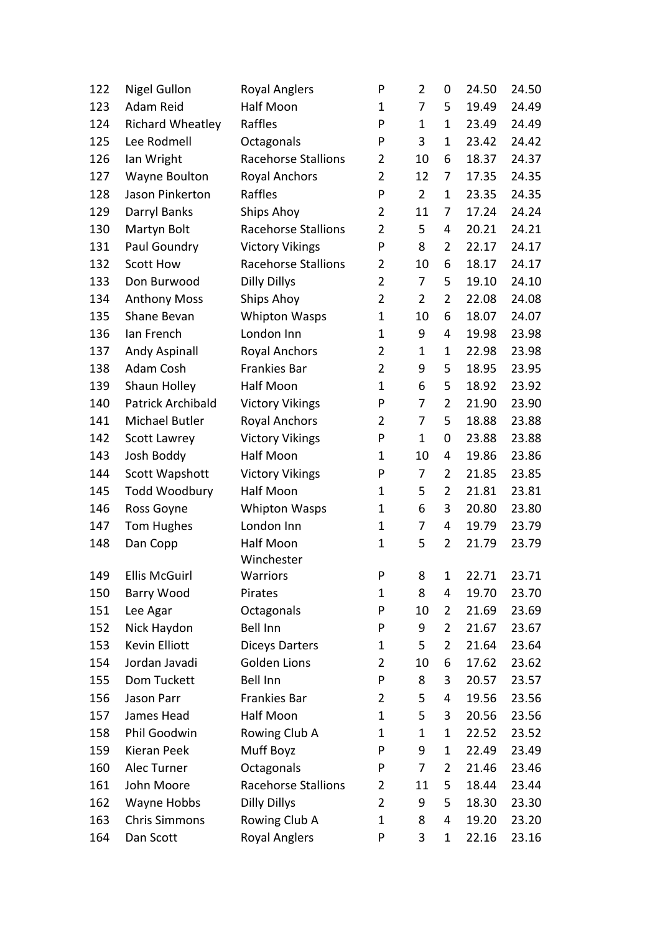| 122 | <b>Nigel Gullon</b>      | <b>Royal Anglers</b>       | P                       | $\overline{2}$ | 0              | 24.50 | 24.50 |
|-----|--------------------------|----------------------------|-------------------------|----------------|----------------|-------|-------|
| 123 | Adam Reid                | Half Moon                  | $\mathbf 1$             | 7              | 5              | 19.49 | 24.49 |
| 124 | <b>Richard Wheatley</b>  | Raffles                    | P                       | $\mathbf 1$    | 1              | 23.49 | 24.49 |
| 125 | Lee Rodmell              | Octagonals                 | P                       | 3              | 1              | 23.42 | 24.42 |
| 126 | lan Wright               | <b>Racehorse Stallions</b> | 2                       | 10             | 6              | 18.37 | 24.37 |
| 127 | Wayne Boulton            | <b>Royal Anchors</b>       | $\overline{2}$          | 12             | 7              | 17.35 | 24.35 |
| 128 | Jason Pinkerton          | Raffles                    | P                       | $\overline{2}$ | 1              | 23.35 | 24.35 |
| 129 | Darryl Banks             | Ships Ahoy                 | $\overline{2}$          | 11             | 7              | 17.24 | 24.24 |
| 130 | Martyn Bolt              | <b>Racehorse Stallions</b> | 2                       | 5              | 4              | 20.21 | 24.21 |
| 131 | Paul Goundry             | <b>Victory Vikings</b>     | P                       | 8              | $\overline{2}$ | 22.17 | 24.17 |
| 132 | <b>Scott How</b>         | <b>Racehorse Stallions</b> | $\overline{2}$          | 10             | 6              | 18.17 | 24.17 |
| 133 | Don Burwood              | <b>Dilly Dillys</b>        | $\overline{2}$          | 7              | 5              | 19.10 | 24.10 |
| 134 | <b>Anthony Moss</b>      | Ships Ahoy                 | $\overline{2}$          | $\overline{2}$ | $\overline{2}$ | 22.08 | 24.08 |
| 135 | Shane Bevan              | <b>Whipton Wasps</b>       | 1                       | 10             | 6              | 18.07 | 24.07 |
| 136 | Ian French               | London Inn                 | 1                       | 9              | 4              | 19.98 | 23.98 |
| 137 | Andy Aspinall            | <b>Royal Anchors</b>       | 2                       | $\mathbf{1}$   | 1              | 22.98 | 23.98 |
| 138 | Adam Cosh                | Frankies Bar               | $\overline{\mathbf{c}}$ | 9              | 5              | 18.95 | 23.95 |
| 139 | Shaun Holley             | Half Moon                  | $\mathbf 1$             | 6              | 5              | 18.92 | 23.92 |
| 140 | <b>Patrick Archibald</b> | <b>Victory Vikings</b>     | P                       | 7              | $\overline{2}$ | 21.90 | 23.90 |
| 141 | Michael Butler           | <b>Royal Anchors</b>       | 2                       | 7              | 5              | 18.88 | 23.88 |
| 142 | Scott Lawrey             | <b>Victory Vikings</b>     | P                       | $\mathbf{1}$   | 0              | 23.88 | 23.88 |
| 143 | Josh Boddy               | Half Moon                  | 1                       | 10             | 4              | 19.86 | 23.86 |
| 144 | Scott Wapshott           | <b>Victory Vikings</b>     | P                       | 7              | $\overline{2}$ | 21.85 | 23.85 |
| 145 | <b>Todd Woodbury</b>     | Half Moon                  | 1                       | 5              | $\overline{2}$ | 21.81 | 23.81 |
| 146 | Ross Goyne               | <b>Whipton Wasps</b>       | 1                       | 6              | 3              | 20.80 | 23.80 |
| 147 | Tom Hughes               | London Inn                 | $\mathbf 1$             | 7              | 4              | 19.79 | 23.79 |
| 148 | Dan Copp                 | Half Moon                  | 1                       | 5              | $\overline{2}$ | 21.79 | 23.79 |
|     |                          | Winchester                 |                         |                |                |       |       |
| 149 | <b>Ellis McGuirl</b>     | <b>Warriors</b>            | P                       | 8              | 1              | 22.71 | 23.71 |
| 150 | Barry Wood               | Pirates                    | 1                       | 8              | 4              | 19.70 | 23.70 |
| 151 | Lee Agar                 | Octagonals                 | P                       | 10             | 2              | 21.69 | 23.69 |
| 152 | Nick Haydon              | <b>Bell Inn</b>            | P                       | 9              | 2              | 21.67 | 23.67 |
| 153 | <b>Kevin Elliott</b>     | <b>Diceys Darters</b>      | 1                       | 5              | $\overline{2}$ | 21.64 | 23.64 |
| 154 | Jordan Javadi            | <b>Golden Lions</b>        | 2                       | 10             | 6              | 17.62 | 23.62 |
| 155 | Dom Tuckett              | <b>Bell Inn</b>            | P                       | 8              | 3              | 20.57 | 23.57 |
| 156 | Jason Parr               | <b>Frankies Bar</b>        | $\overline{2}$          | 5              | 4              | 19.56 | 23.56 |
| 157 | James Head               | Half Moon                  | 1                       | 5              | 3              | 20.56 | 23.56 |
| 158 | Phil Goodwin             | Rowing Club A              | 1                       | $\mathbf{1}$   | 1              | 22.52 | 23.52 |
| 159 | Kieran Peek              | Muff Boyz                  | P                       | 9              | 1              | 22.49 | 23.49 |
| 160 | Alec Turner              | Octagonals                 | P                       | 7              | 2              | 21.46 | 23.46 |
| 161 | John Moore               | <b>Racehorse Stallions</b> | 2                       | 11             | 5              | 18.44 | 23.44 |
| 162 | Wayne Hobbs              | <b>Dilly Dillys</b>        | 2                       | 9              | 5              | 18.30 | 23.30 |
| 163 | <b>Chris Simmons</b>     | Rowing Club A              | 1                       | 8              | 4              | 19.20 | 23.20 |
| 164 | Dan Scott                | <b>Royal Anglers</b>       | P                       | 3              | $\mathbf{1}$   | 22.16 | 23.16 |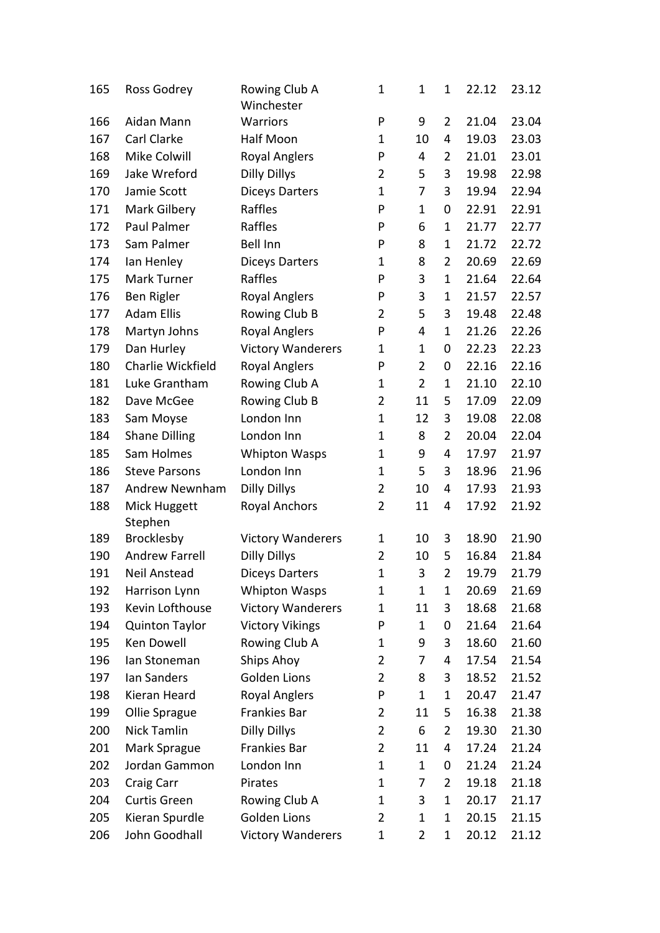| 165 | Ross Godrey           | Rowing Club A<br>Winchester | 1                       | $\mathbf 1$    | $\mathbf 1$    | 22.12 | 23.12 |
|-----|-----------------------|-----------------------------|-------------------------|----------------|----------------|-------|-------|
| 166 | Aidan Mann            | Warriors                    | P                       | 9              | 2              | 21.04 | 23.04 |
| 167 | Carl Clarke           | Half Moon                   | 1                       | 10             | 4              | 19.03 | 23.03 |
| 168 | Mike Colwill          | <b>Royal Anglers</b>        | P                       | 4              | 2              | 21.01 | 23.01 |
| 169 | Jake Wreford          | <b>Dilly Dillys</b>         | $\overline{2}$          | 5              | 3              | 19.98 | 22.98 |
| 170 | Jamie Scott           | <b>Diceys Darters</b>       | $\mathbf 1$             | 7              | 3              | 19.94 | 22.94 |
| 171 | Mark Gilbery          | Raffles                     | P                       | $\mathbf 1$    | 0              | 22.91 | 22.91 |
| 172 | Paul Palmer           | Raffles                     | P                       | 6              | 1              | 21.77 | 22.77 |
| 173 | Sam Palmer            | <b>Bell Inn</b>             | P                       | 8              | 1              | 21.72 | 22.72 |
| 174 | lan Henley            | <b>Diceys Darters</b>       | 1                       | 8              | 2              | 20.69 | 22.69 |
| 175 | Mark Turner           | Raffles                     | P                       | 3              | 1              | 21.64 | 22.64 |
| 176 | Ben Rigler            | <b>Royal Anglers</b>        | P                       | 3              | 1              | 21.57 | 22.57 |
| 177 | <b>Adam Ellis</b>     | Rowing Club B               | 2                       | 5              | 3              | 19.48 | 22.48 |
| 178 | Martyn Johns          | <b>Royal Anglers</b>        | P                       | 4              | 1              | 21.26 | 22.26 |
| 179 | Dan Hurley            | <b>Victory Wanderers</b>    | 1                       | $\mathbf 1$    | 0              | 22.23 | 22.23 |
| 180 | Charlie Wickfield     | <b>Royal Anglers</b>        | P                       | $\overline{2}$ | 0              | 22.16 | 22.16 |
| 181 | Luke Grantham         | Rowing Club A               | 1                       | $\overline{2}$ | 1              | 21.10 | 22.10 |
| 182 | Dave McGee            | Rowing Club B               | 2                       | 11             | 5              | 17.09 | 22.09 |
| 183 | Sam Moyse             | London Inn                  | 1                       | 12             | 3              | 19.08 | 22.08 |
| 184 | <b>Shane Dilling</b>  | London Inn                  | 1                       | 8              | 2              | 20.04 | 22.04 |
| 185 | Sam Holmes            | <b>Whipton Wasps</b>        | 1                       | 9              | 4              | 17.97 | 21.97 |
| 186 | <b>Steve Parsons</b>  | London Inn                  | 1                       | 5              | 3              | 18.96 | 21.96 |
| 187 | <b>Andrew Newnham</b> | <b>Dilly Dillys</b>         | $\overline{2}$          | 10             | 4              | 17.93 | 21.93 |
| 188 | Mick Huggett          | <b>Royal Anchors</b>        | $\overline{2}$          | 11             | 4              | 17.92 | 21.92 |
|     | Stephen               |                             |                         |                |                |       |       |
| 189 | Brocklesby            | <b>Victory Wanderers</b>    | 1                       | 10             | 3              | 18.90 | 21.90 |
| 190 | <b>Andrew Farrell</b> | <b>Dilly Dillys</b>         | $\overline{2}$          | 10             | 5              | 16.84 | 21.84 |
| 191 | Neil Anstead          | <b>Diceys Darters</b>       | $\overline{1}$          | 3              | 2              | 19.79 | 21.79 |
| 192 | Harrison Lynn         | <b>Whipton Wasps</b>        | 1                       | 1              | 1              | 20.69 | 21.69 |
| 193 | Kevin Lofthouse       | <b>Victory Wanderers</b>    | 1                       | 11             | 3              | 18.68 | 21.68 |
| 194 | <b>Quinton Taylor</b> | <b>Victory Vikings</b>      | P                       | $\mathbf{1}$   | 0              | 21.64 | 21.64 |
| 195 | Ken Dowell            | Rowing Club A               | 1                       | 9              | 3              | 18.60 | 21.60 |
| 196 | Ian Stoneman          | Ships Ahoy                  | 2                       | 7              | 4              | 17.54 | 21.54 |
| 197 | lan Sanders           | Golden Lions                | $\overline{2}$          | 8              | 3              | 18.52 | 21.52 |
| 198 | Kieran Heard          | <b>Royal Anglers</b>        | P                       | 1              | 1              | 20.47 | 21.47 |
| 199 | Ollie Sprague         | Frankies Bar                | 2                       | 11             | 5              | 16.38 | 21.38 |
| 200 | Nick Tamlin           | <b>Dilly Dillys</b>         | $\overline{\mathbf{c}}$ | 6              | $\overline{2}$ | 19.30 | 21.30 |
| 201 | Mark Sprague          | Frankies Bar                | $\overline{2}$          | 11             | 4              | 17.24 | 21.24 |
| 202 | Jordan Gammon         | London Inn                  | 1                       | $\mathbf{1}$   | 0              | 21.24 | 21.24 |
| 203 | Craig Carr            | Pirates                     | 1                       | 7              | 2              | 19.18 | 21.18 |
| 204 | Curtis Green          | Rowing Club A               | 1                       | 3              | 1              | 20.17 | 21.17 |
| 205 | Kieran Spurdle        | <b>Golden Lions</b>         | $\overline{2}$          | $\mathbf 1$    | 1              | 20.15 | 21.15 |
| 206 | John Goodhall         | <b>Victory Wanderers</b>    | 1                       | $\overline{2}$ | 1              | 20.12 | 21.12 |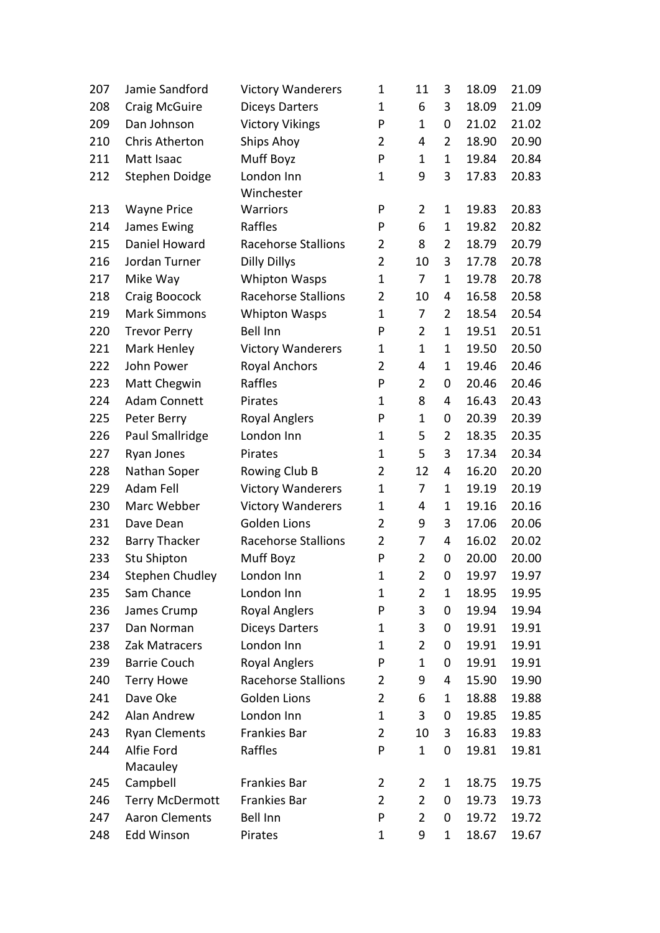| 207 | Jamie Sandford         | <b>Victory Wanderers</b>   | 1              | 11             | 3              | 18.09 | 21.09 |
|-----|------------------------|----------------------------|----------------|----------------|----------------|-------|-------|
| 208 | Craig McGuire          | <b>Diceys Darters</b>      | $\mathbf 1$    | 6              | 3              | 18.09 | 21.09 |
| 209 | Dan Johnson            | <b>Victory Vikings</b>     | P              | 1              | 0              | 21.02 | 21.02 |
| 210 | <b>Chris Atherton</b>  | Ships Ahoy                 | $\overline{2}$ | 4              | $\overline{2}$ | 18.90 | 20.90 |
| 211 | Matt Isaac             | Muff Boyz                  | P              | 1              | $\mathbf{1}$   | 19.84 | 20.84 |
| 212 | Stephen Doidge         | London Inn                 | 1              | 9              | 3              | 17.83 | 20.83 |
|     |                        | Winchester                 |                |                |                |       |       |
| 213 | <b>Wayne Price</b>     | Warriors                   | P              | 2              | $\mathbf{1}$   | 19.83 | 20.83 |
| 214 | James Ewing            | Raffles                    | P              | 6              | $\mathbf 1$    | 19.82 | 20.82 |
| 215 | Daniel Howard          | Racehorse Stallions        | 2              | 8              | $\overline{2}$ | 18.79 | 20.79 |
| 216 | Jordan Turner          | <b>Dilly Dillys</b>        | $\overline{2}$ | 10             | 3              | 17.78 | 20.78 |
| 217 | Mike Way               | <b>Whipton Wasps</b>       | $\mathbf 1$    | 7              | $\mathbf{1}$   | 19.78 | 20.78 |
| 218 | Craig Boocock          | Racehorse Stallions        | $\overline{2}$ | 10             | 4              | 16.58 | 20.58 |
| 219 | <b>Mark Simmons</b>    | <b>Whipton Wasps</b>       | $\mathbf 1$    | 7              | $\overline{2}$ | 18.54 | 20.54 |
| 220 | <b>Trevor Perry</b>    | <b>Bell Inn</b>            | P              | $\overline{2}$ | $\mathbf{1}$   | 19.51 | 20.51 |
| 221 | Mark Henley            | <b>Victory Wanderers</b>   | $\mathbf 1$    | $\mathbf 1$    | $\mathbf 1$    | 19.50 | 20.50 |
| 222 | John Power             | <b>Royal Anchors</b>       | $\overline{2}$ | 4              | $\mathbf 1$    | 19.46 | 20.46 |
| 223 | Matt Chegwin           | Raffles                    | P              | 2              | 0              | 20.46 | 20.46 |
| 224 | <b>Adam Connett</b>    | Pirates                    | 1              | 8              | 4              | 16.43 | 20.43 |
| 225 | Peter Berry            | <b>Royal Anglers</b>       | P              | $\mathbf 1$    | 0              | 20.39 | 20.39 |
| 226 | Paul Smallridge        | London Inn                 | $\mathbf{1}$   | 5              | 2              | 18.35 | 20.35 |
| 227 | Ryan Jones             | Pirates                    | $\mathbf{1}$   | 5              | 3              | 17.34 | 20.34 |
| 228 | Nathan Soper           | Rowing Club B              | $\overline{2}$ | 12             | 4              | 16.20 | 20.20 |
| 229 | Adam Fell              | <b>Victory Wanderers</b>   | $\mathbf 1$    | 7              | $\mathbf{1}$   | 19.19 | 20.19 |
| 230 | Marc Webber            | <b>Victory Wanderers</b>   | $\mathbf 1$    | 4              | 1              | 19.16 | 20.16 |
| 231 | Dave Dean              | <b>Golden Lions</b>        | 2              | 9              | 3              | 17.06 | 20.06 |
| 232 | <b>Barry Thacker</b>   | Racehorse Stallions        | $\overline{2}$ | 7              | 4              | 16.02 | 20.02 |
| 233 | Stu Shipton            | Muff Boyz                  | P              | $\overline{2}$ | 0              | 20.00 | 20.00 |
| 234 | <b>Stephen Chudley</b> | London Inn                 | 1              | $\overline{2}$ | 0              | 19.97 | 19.97 |
| 235 | Sam Chance             | London Inn                 | $\mathbf{1}$   | 2              | 1              | 18.95 | 19.95 |
| 236 | James Crump            | <b>Royal Anglers</b>       | P              | 3              | 0              | 19.94 | 19.94 |
| 237 | Dan Norman             | <b>Diceys Darters</b>      | 1              | 3              | 0              | 19.91 | 19.91 |
| 238 | Zak Matracers          | London Inn                 | $\mathbf 1$    | $\overline{2}$ | 0              | 19.91 | 19.91 |
| 239 | <b>Barrie Couch</b>    | <b>Royal Anglers</b>       | P              | $\mathbf{1}$   | 0              | 19.91 | 19.91 |
| 240 | <b>Terry Howe</b>      | <b>Racehorse Stallions</b> | 2              | 9              | 4              | 15.90 | 19.90 |
| 241 | Dave Oke               | <b>Golden Lions</b>        | $\overline{2}$ | 6              | 1              | 18.88 | 19.88 |
| 242 | Alan Andrew            | London Inn                 | $\mathbf 1$    | 3              | 0              | 19.85 | 19.85 |
| 243 | <b>Ryan Clements</b>   | Frankies Bar               | 2              | 10             | 3              | 16.83 | 19.83 |
| 244 | Alfie Ford             | Raffles                    | P              | $\mathbf{1}$   | 0              | 19.81 | 19.81 |
|     | Macauley               |                            |                |                |                |       |       |
| 245 | Campbell               | Frankies Bar               | 2              | 2              | 1              | 18.75 | 19.75 |
| 246 | <b>Terry McDermott</b> | Frankies Bar               | $\overline{2}$ | $\overline{2}$ | 0              | 19.73 | 19.73 |
| 247 | <b>Aaron Clements</b>  | <b>Bell Inn</b>            | P              | $\overline{2}$ | 0              | 19.72 | 19.72 |
| 248 | Edd Winson             | Pirates                    | 1              | 9              | $\mathbf{1}$   | 18.67 | 19.67 |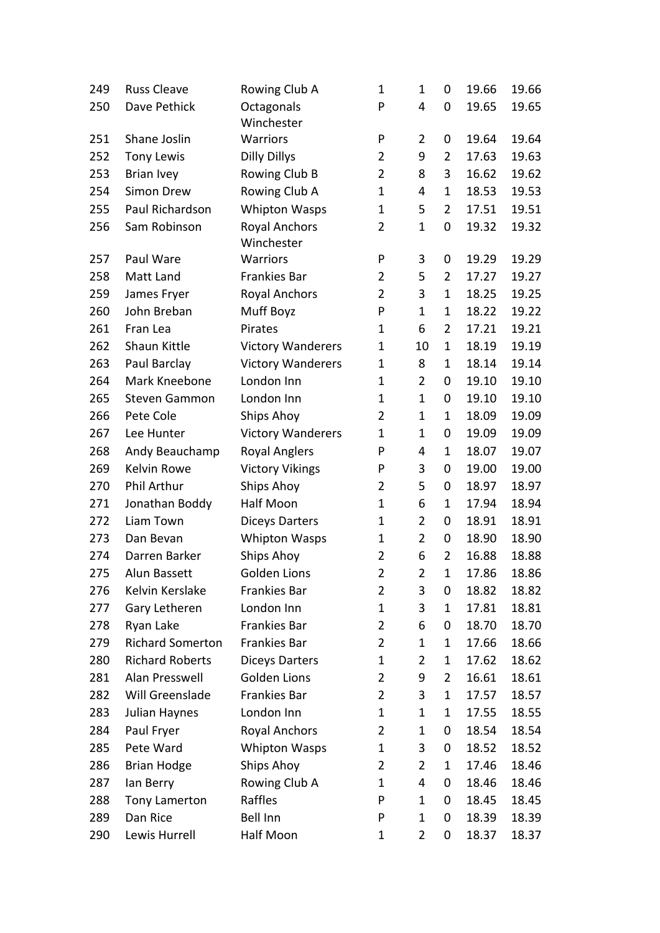| 249 | <b>Russ Cleave</b>      | Rowing Club A                      | $\mathbf 1$    | 1              | 0              | 19.66 | 19.66 |
|-----|-------------------------|------------------------------------|----------------|----------------|----------------|-------|-------|
| 250 | Dave Pethick            | Octagonals<br>Winchester           | P              | 4              | 0              | 19.65 | 19.65 |
| 251 | Shane Joslin            | Warriors                           | P              | $\overline{2}$ | 0              | 19.64 | 19.64 |
| 252 | <b>Tony Lewis</b>       | <b>Dilly Dillys</b>                | $\overline{2}$ | 9              | $\overline{2}$ | 17.63 | 19.63 |
| 253 | <b>Brian Ivey</b>       | Rowing Club B                      | $\overline{2}$ | 8              | 3              | 16.62 | 19.62 |
| 254 | Simon Drew              | Rowing Club A                      | $\mathbf{1}$   | 4              | $\mathbf 1$    | 18.53 | 19.53 |
| 255 | Paul Richardson         | <b>Whipton Wasps</b>               | $\mathbf 1$    | 5              | $\overline{2}$ | 17.51 | 19.51 |
| 256 | Sam Robinson            | <b>Royal Anchors</b><br>Winchester | $\overline{2}$ | $\mathbf 1$    | 0              | 19.32 | 19.32 |
| 257 | Paul Ware               | Warriors                           | P              | 3              | 0              | 19.29 | 19.29 |
| 258 | Matt Land               | Frankies Bar                       | $\overline{2}$ | 5              | $\overline{2}$ | 17.27 | 19.27 |
| 259 | James Fryer             | <b>Royal Anchors</b>               | $\overline{2}$ | 3              | $\mathbf 1$    | 18.25 | 19.25 |
| 260 | John Breban             | Muff Boyz                          | P              | $\mathbf 1$    | $\mathbf{1}$   | 18.22 | 19.22 |
| 261 | Fran Lea                | Pirates                            | $\mathbf 1$    | 6              | $\overline{2}$ | 17.21 | 19.21 |
| 262 | Shaun Kittle            | <b>Victory Wanderers</b>           | $\mathbf 1$    | 10             | 1              | 18.19 | 19.19 |
| 263 | Paul Barclay            | <b>Victory Wanderers</b>           | $\mathbf 1$    | 8              | $\mathbf{1}$   | 18.14 | 19.14 |
| 264 | Mark Kneebone           | London Inn                         | 1              | $\overline{2}$ | 0              | 19.10 | 19.10 |
| 265 | <b>Steven Gammon</b>    | London Inn                         | $\mathbf 1$    | $\mathbf 1$    | 0              | 19.10 | 19.10 |
| 266 | Pete Cole               | Ships Ahoy                         | $\overline{2}$ | 1              | 1              | 18.09 | 19.09 |
| 267 | Lee Hunter              | <b>Victory Wanderers</b>           | $\mathbf 1$    | 1              | 0              | 19.09 | 19.09 |
| 268 | Andy Beauchamp          | <b>Royal Anglers</b>               | P              | 4              | $\mathbf{1}$   | 18.07 | 19.07 |
| 269 | Kelvin Rowe             | <b>Victory Vikings</b>             | P              | 3              | 0              | 19.00 | 19.00 |
| 270 | Phil Arthur             | Ships Ahoy                         | $\overline{2}$ | 5              | 0              | 18.97 | 18.97 |
| 271 | Jonathan Boddy          | Half Moon                          | 1              | 6              | 1              | 17.94 | 18.94 |
| 272 | Liam Town               | <b>Diceys Darters</b>              | $\mathbf 1$    | $\overline{2}$ | 0              | 18.91 | 18.91 |
| 273 | Dan Bevan               | <b>Whipton Wasps</b>               | $\mathbf 1$    | $\overline{2}$ | 0              | 18.90 | 18.90 |
| 274 | Darren Barker           | Ships Ahoy                         | $\overline{2}$ | 6              | $\overline{2}$ | 16.88 | 18.88 |
| 275 | Alun Bassett            | <b>Golden Lions</b>                | $\overline{2}$ | $\overline{2}$ | 1              | 17.86 | 18.86 |
| 276 | Kelvin Kerslake         | Frankies Bar                       | $\overline{2}$ | 3              | 0              | 18.82 | 18.82 |
| 277 | Gary Letheren           | London Inn                         | 1              | 3              | 1              | 17.81 | 18.81 |
| 278 | Ryan Lake               | <b>Frankies Bar</b>                | $\overline{2}$ | 6              | 0              | 18.70 | 18.70 |
| 279 | <b>Richard Somerton</b> | Frankies Bar                       | 2              | 1              | 1              | 17.66 | 18.66 |
| 280 | <b>Richard Roberts</b>  | <b>Diceys Darters</b>              | 1              | 2              | 1              | 17.62 | 18.62 |
| 281 | Alan Presswell          | <b>Golden Lions</b>                | $\overline{2}$ | 9              | $\overline{2}$ | 16.61 | 18.61 |
| 282 | Will Greenslade         | <b>Frankies Bar</b>                | $\overline{2}$ | 3              | 1              | 17.57 | 18.57 |
| 283 | Julian Haynes           | London Inn                         | 1              | $\mathbf 1$    | 1              | 17.55 | 18.55 |
| 284 | Paul Fryer              | <b>Royal Anchors</b>               | $\overline{2}$ | 1              | 0              | 18.54 | 18.54 |
| 285 | Pete Ward               | <b>Whipton Wasps</b>               | 1              | 3              | 0              | 18.52 | 18.52 |
| 286 | <b>Brian Hodge</b>      | Ships Ahoy                         | 2              | $\overline{2}$ | 1              | 17.46 | 18.46 |
| 287 | lan Berry               | Rowing Club A                      | 1              | 4              | 0              | 18.46 | 18.46 |
| 288 | Tony Lamerton           | Raffles                            | P              | 1              | 0              | 18.45 | 18.45 |
| 289 | Dan Rice                | <b>Bell Inn</b>                    | P              | $\mathbf 1$    | 0              | 18.39 | 18.39 |
| 290 | Lewis Hurrell           | Half Moon                          | 1              | $\overline{2}$ | 0              | 18.37 | 18.37 |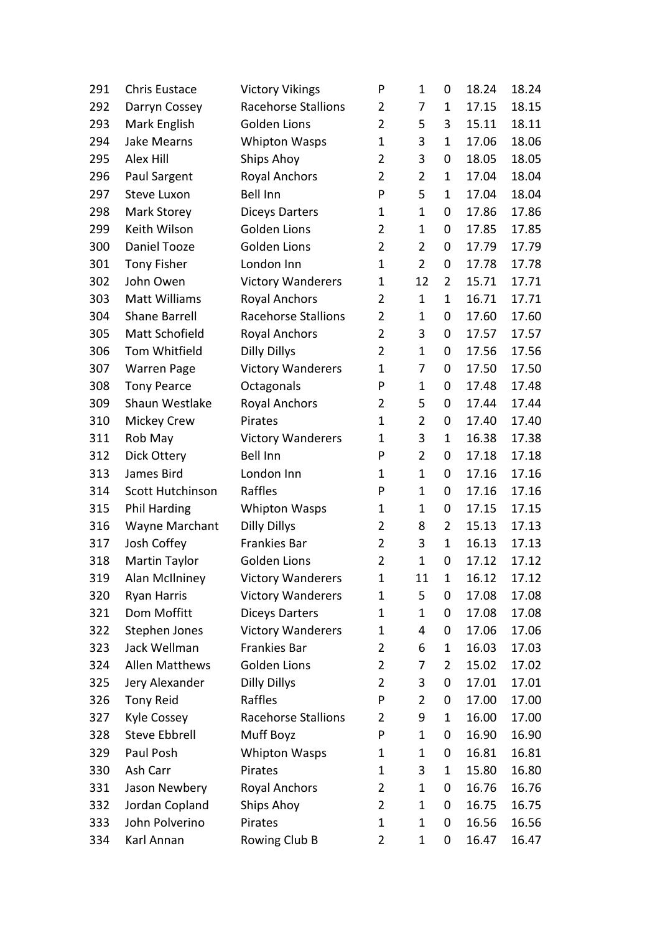| 291 | <b>Chris Eustace</b>  | <b>Victory Vikings</b>     | P              | 1              | 0              | 18.24 | 18.24 |
|-----|-----------------------|----------------------------|----------------|----------------|----------------|-------|-------|
| 292 | Darryn Cossey         | <b>Racehorse Stallions</b> | $\overline{2}$ | 7              | $\mathbf{1}$   | 17.15 | 18.15 |
| 293 | Mark English          | <b>Golden Lions</b>        | $\overline{2}$ | 5              | 3              | 15.11 | 18.11 |
| 294 | <b>Jake Mearns</b>    | <b>Whipton Wasps</b>       | $\mathbf{1}$   | 3              | $\mathbf{1}$   | 17.06 | 18.06 |
| 295 | Alex Hill             | Ships Ahoy                 | $\overline{2}$ | 3              | 0              | 18.05 | 18.05 |
| 296 | Paul Sargent          | <b>Royal Anchors</b>       | $\overline{2}$ | $\overline{2}$ | $\mathbf 1$    | 17.04 | 18.04 |
| 297 | <b>Steve Luxon</b>    | <b>Bell Inn</b>            | P              | 5              | $\mathbf{1}$   | 17.04 | 18.04 |
| 298 | Mark Storey           | <b>Diceys Darters</b>      | $\mathbf 1$    | 1              | 0              | 17.86 | 17.86 |
| 299 | Keith Wilson          | <b>Golden Lions</b>        | $\overline{2}$ | 1              | 0              | 17.85 | 17.85 |
| 300 | Daniel Tooze          | Golden Lions               | $\overline{2}$ | $\overline{2}$ | 0              | 17.79 | 17.79 |
| 301 | <b>Tony Fisher</b>    | London Inn                 | $\mathbf 1$    | $\overline{2}$ | 0              | 17.78 | 17.78 |
| 302 | John Owen             | <b>Victory Wanderers</b>   | $\mathbf{1}$   | 12             | 2              | 15.71 | 17.71 |
| 303 | <b>Matt Williams</b>  | <b>Royal Anchors</b>       | $\overline{2}$ | $\mathbf{1}$   | $\mathbf{1}$   | 16.71 | 17.71 |
| 304 | <b>Shane Barrell</b>  | <b>Racehorse Stallions</b> | $\overline{2}$ | $\mathbf 1$    | 0              | 17.60 | 17.60 |
| 305 | Matt Schofield        | <b>Royal Anchors</b>       | $\overline{2}$ | 3              | 0              | 17.57 | 17.57 |
| 306 | Tom Whitfield         | <b>Dilly Dillys</b>        | $\overline{2}$ | $\mathbf{1}$   | 0              | 17.56 | 17.56 |
| 307 | <b>Warren Page</b>    | <b>Victory Wanderers</b>   | $\mathbf 1$    | 7              | 0              | 17.50 | 17.50 |
| 308 | <b>Tony Pearce</b>    | Octagonals                 | P              | $\mathbf{1}$   | 0              | 17.48 | 17.48 |
| 309 | Shaun Westlake        | <b>Royal Anchors</b>       | $\overline{2}$ | 5              | 0              | 17.44 | 17.44 |
| 310 | <b>Mickey Crew</b>    | Pirates                    | $\mathbf{1}$   | $\overline{2}$ | 0              | 17.40 | 17.40 |
| 311 | Rob May               | <b>Victory Wanderers</b>   | $\mathbf 1$    | 3              | $\mathbf{1}$   | 16.38 | 17.38 |
| 312 | Dick Ottery           | <b>Bell Inn</b>            | P              | $\overline{2}$ | 0              | 17.18 | 17.18 |
| 313 | James Bird            | London Inn                 | $\mathbf{1}$   | $\mathbf{1}$   | 0              | 17.16 | 17.16 |
| 314 | Scott Hutchinson      | Raffles                    | P              | 1              | 0              | 17.16 | 17.16 |
| 315 | Phil Harding          | <b>Whipton Wasps</b>       | $\mathbf 1$    | $\mathbf 1$    | 0              | 17.15 | 17.15 |
| 316 | Wayne Marchant        | <b>Dilly Dillys</b>        | $\overline{2}$ | 8              | $\overline{2}$ | 15.13 | 17.13 |
| 317 | Josh Coffey           | Frankies Bar               | $\overline{2}$ | 3              | 1              | 16.13 | 17.13 |
| 318 | <b>Martin Taylor</b>  | Golden Lions               | $\overline{2}$ | $\mathbf{1}$   | 0              | 17.12 | 17.12 |
| 319 | Alan McIlniney        | <b>Victory Wanderers</b>   | $\mathbf 1$    | 11             | $\mathbf{1}$   | 16.12 | 17.12 |
| 320 | Ryan Harris           | <b>Victory Wanderers</b>   | 1              | 5              | 0              | 17.08 | 17.08 |
| 321 | Dom Moffitt           | <b>Diceys Darters</b>      | 1              | 1              | 0              | 17.08 | 17.08 |
| 322 | Stephen Jones         | <b>Victory Wanderers</b>   | 1              | 4              | 0              | 17.06 | 17.06 |
| 323 | Jack Wellman          | <b>Frankies Bar</b>        | 2              | 6              | 1              | 16.03 | 17.03 |
| 324 | <b>Allen Matthews</b> | Golden Lions               | $\overline{2}$ | 7              | 2              | 15.02 | 17.02 |
| 325 | Jery Alexander        | <b>Dilly Dillys</b>        | 2              | 3              | 0              | 17.01 | 17.01 |
| 326 | <b>Tony Reid</b>      | Raffles                    | P              | 2              | 0              | 17.00 | 17.00 |
| 327 | <b>Kyle Cossey</b>    | <b>Racehorse Stallions</b> | $\overline{2}$ | 9              | 1              | 16.00 | 17.00 |
| 328 | <b>Steve Ebbrell</b>  | Muff Boyz                  | P              | 1              | 0              | 16.90 | 16.90 |
| 329 | Paul Posh             | <b>Whipton Wasps</b>       | 1              | 1              | 0              | 16.81 | 16.81 |
| 330 | Ash Carr              | Pirates                    | $\mathbf 1$    | 3              | 1              | 15.80 | 16.80 |
| 331 | Jason Newbery         | <b>Royal Anchors</b>       | 2              | 1              | 0              | 16.76 | 16.76 |
| 332 | Jordan Copland        | Ships Ahoy                 | $\overline{2}$ | $\mathbf 1$    | 0              | 16.75 | 16.75 |
| 333 | John Polverino        | Pirates                    | $\mathbf 1$    | 1              | 0              | 16.56 | 16.56 |
| 334 | Karl Annan            | Rowing Club B              | 2              | 1              | 0              | 16.47 | 16.47 |